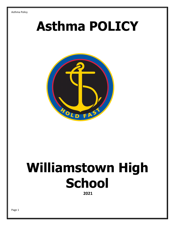## **Asthma POLICY**



# **Williamstown High School**

**2021**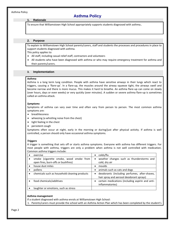#### **1. Rationale**

To ensure that Williamstown High School appropriately supports students diagnosed with asthma.

#### **2. Purpose**

To explain to Williamstown High School parents/carers, staff and students the processes and procedures in place to support students diagnosed with asthma.

This policy applies to:

- All staff, including casual relief staff, contractors and volunteers
- All students who have been diagnosed with asthma or who may require emergency treatment for asthma and their parents/carers.

#### **3. Implementation**

#### **Asthma**

Asthma is a long term lung condition. People with asthma have sensitive airways in their lungs which react to triggers, causing a 'flare-up'. In a flare-up, the muscles around the airway squeeze tight, the airways swell and become narrow and there is more mucus. This makes it hard to breathe. An asthma flare-up can come on slowly (over hours, days or even weeks) or very quickly (over minutes). A sudden or severe asthma flare-up is sometimes called an asthma attack.

#### *Symptoms*

Symptoms of asthma can vary over time and often vary from person to person. The most common asthma symptoms are:

- breathlessness
- wheezing (a whistling noise from the chest)
- tight feeling in the chest
- persistent cough

Symptoms often occur at night, early in the morning or during/just after physical activity. If asthma is well controlled, a person should only have occasional asthma symptoms.

#### *Triggers*

A trigger is something that sets off or starts asthma symptoms. Everyone with asthma has different triggers. For most people with asthma, triggers are only a problem when asthma is not well controlled with medication. Common asthma triggers include:

| exercise                                                                       | colds/flu                                                                                              |
|--------------------------------------------------------------------------------|--------------------------------------------------------------------------------------------------------|
| smoke (cigarette smoke, wood smoke from<br>open fires, burn-offs or bushfires) | weather changes such as thunderstorms and<br>$\bullet$<br>cold, dry air                                |
| house dust mites                                                               | moulds<br>٠                                                                                            |
| pollens                                                                        | animals such as cats and dogs                                                                          |
| chemicals such as household cleaning products                                  | deodorants (including perfumes, after-shaves,<br>$\bullet$<br>hair spray and aerosol deodorant sprays) |
| food chemicals/additives                                                       | certain medications (including aspirin and anti-<br>$\bullet$<br>inflammatories)                       |
| laughter or emotions, such as stress                                           |                                                                                                        |

#### **Asthma management**

If a student diagnosed with asthma enrols at Williamstown High School:

1. Parents/carers must provide the school with an Asthma Action Plan which has been completed by the student's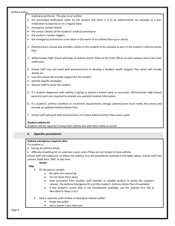medical practitioner. The plan must outline:

- the prescribed medication taken by the student and when it is to be administered, for example as a premedication to exercise or on a regular basis
- emergency contact details
- the contact details of the student's medical practitioner
- the student's known triggers
- the emergency procedures to be taken in the event of an asthma flare-up or attack.
- 2. Parents/carers should also provide a photo of the student to be included as part of the student's Asthma Action Plan.
- 3. Williamstown High School will keep all Asthma Action Plans at the front offices at each campus and in the main staffrooms.
- 4. School staff may also work with parents/carers to develop a Student Health Support Plan which will include details on:
- how the school will provide support for the student
- identify specific strategies
- allocate staff to assist the student
- 5. If a student diagnosed with asthma is going to attend a school camp or excursion, Williamstown High School parents/carers are required to provide any updated medical information.
- 6. If a student's asthma condition or treatment requirements change, parent/carers must notify the school and provide an updated Asthma Action Plan.
- 7. School staff will work with parents/carers to review Asthma Action Plans once a year.

#### **Student asthma kit**

Students will be required to keep their asthma kits with them while at school.

#### **4. Specific procedures**

#### **Asthma emergency response plan**

If a student is:

- having an asthma attack
- difficulty breathing for an unknown cause, even if they are not known to have asthma

School staff will endeavour to follow the Asthma First Aid procedures outlined in the table below. School staff may contact Triple Zero "000" at any time.

**Action**

**Step**

- 1. Sit the person upright
	- Be calm and reassuring
	- Do not leave them alone
	- Seek assistance from another staff member or reliable student to locate the student's reliever, the Asthma Emergency Kit and the student's Asthma Action Plan (if available).
	- If the student's action plan is not immediately available, use the Asthma First Aid as described in Steps 2 to 5.
- 2. Give 4 separate puffs of blue or blue/grey reliever puffer:
	- Shake the puffer
	- Use a spacer if you have one

Page 3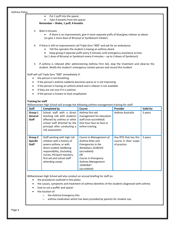|                                                                                                                                                                                                                                                                                                                             | $\bullet$           | Put 1 puff into the spacer<br>Take 4 breaths from the spacer                                                                                             |                                                                                                                                                                                  |                  |                      |  |  |  |  |  |                                                   |  |  |  |  |  |  |
|-----------------------------------------------------------------------------------------------------------------------------------------------------------------------------------------------------------------------------------------------------------------------------------------------------------------------------|---------------------|----------------------------------------------------------------------------------------------------------------------------------------------------------|----------------------------------------------------------------------------------------------------------------------------------------------------------------------------------|------------------|----------------------|--|--|--|--|--|---------------------------------------------------|--|--|--|--|--|--|
|                                                                                                                                                                                                                                                                                                                             |                     | Remember - Shake, 1 puff, 4 breaths                                                                                                                      |                                                                                                                                                                                  |                  |                      |  |  |  |  |  |                                                   |  |  |  |  |  |  |
| 3.<br>Wait 4 minutes<br>If there is no improvement, give 4 more separate puffs of blue/grey reliever as above<br>(or give 1 more dose of Bricanyl or Symbiocort inhaler)                                                                                                                                                    |                     |                                                                                                                                                          |                                                                                                                                                                                  |                  |                      |  |  |  |  |  |                                                   |  |  |  |  |  |  |
| If there is still no improvement call Triple Zero "000" and ask for an ambulance.<br>4.<br>Tell the operator the student is having an asthma attack<br>Keep giving 4 separate puffs every 4 minutes until emergency assistance arrives<br>(or 1 dose of Bricanyl or Symbicort every 4 minutes - up to 3 doses of Symbicort) |                     |                                                                                                                                                          |                                                                                                                                                                                  |                  |                      |  |  |  |  |  |                                                   |  |  |  |  |  |  |
| 5.                                                                                                                                                                                                                                                                                                                          |                     |                                                                                                                                                          | If asthma is relieved after administering Asthma First Aid, stop the treatment and observe the<br>student. Notify the student's emergency contact person and record the incident |                  |                      |  |  |  |  |  |                                                   |  |  |  |  |  |  |
| Staff will call Triple Zero "000" immediately if:<br>the person is not breathing<br>$\bullet$<br>if the person's asthma suddenly becomes worse or is not improving<br>$\bullet$<br>if the person is having an asthma attack and a reliever is not available<br>$\bullet$                                                    |                     |                                                                                                                                                          |                                                                                                                                                                                  |                  |                      |  |  |  |  |  |                                                   |  |  |  |  |  |  |
|                                                                                                                                                                                                                                                                                                                             |                     |                                                                                                                                                          |                                                                                                                                                                                  |                  |                      |  |  |  |  |  | if they are not sure if it is asthma<br>$\bullet$ |  |  |  |  |  |  |
|                                                                                                                                                                                                                                                                                                                             |                     |                                                                                                                                                          |                                                                                                                                                                                  |                  |                      |  |  |  |  |  |                                                   |  |  |  |  |  |  |
| $\bullet$                                                                                                                                                                                                                                                                                                                   |                     | if the person is known to have anaphylaxis                                                                                                               |                                                                                                                                                                                  |                  |                      |  |  |  |  |  |                                                   |  |  |  |  |  |  |
| <b>Training for staff</b><br><b>Staff</b>                                                                                                                                                                                                                                                                                   | <b>Completed by</b> |                                                                                                                                                          | Williamstown High School will arrange the following asthma management training for staff:<br>Course                                                                              | Provider         |                      |  |  |  |  |  |                                                   |  |  |  |  |  |  |
| Group 1<br>General<br><b>Staff</b>                                                                                                                                                                                                                                                                                          | risk assessment.    | School staff with a direct<br>teaching role with students<br>affected by asthma or other<br>school staff directed by the<br>principal after conducting a | Asthma first aid<br>management for education<br>staff (non-accredited)<br>One hour face-to-face or<br>online training.                                                           | Asthma Australia | Valid for<br>3 years |  |  |  |  |  |                                                   |  |  |  |  |  |  |

- how to use a puffer and spacer
- the location of:
	- o the Asthma Emergency Kits
	- o asthma medication which has been provided by parents for student use.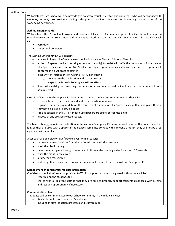Williamstown High School will also provide this policy to casual relief staff and volunteers who will be working with students, and may also provide a briefing if the principal decides it is necessary depending on the nature of the work being performed.

#### **Asthma Emergency Kit**

Williamstown High School will provide and maintain at least two Asthma Emergency Kits. One kit will be kept on school premises in the front offices and the campus based sick bays and one will be a mobile kit for activities such as:

- yard duty
- camps and excursions.

The Asthma Emergency Kit will contain:

- at least 1 blue or blue/grey reliever medication such as Airomir, Admol or Ventolin
- at least 2 spacer devices (for single person use only) to assist with effective inhalation of the blue or blue/grey reliever medication (WHS will ensure spare spacers are available as replacements). Spacers will be stored in a dust proof container.
- clear written instructions on Asthma First Aid, including:
	- o how to use the medication and spacer devices
	- o steps to be taken in treating an asthma attack
- A record sheet/log for recording the details of an asthma first aid incident, such as the number of puffs administered.

First aid officers at each campus will monitor and maintain the Asthma Emergency Kits. They will:

- ensure all contents are maintained and replaced where necessary
- regularly check the expiry date on the canisters of the blue or blue/grey reliever puffers and place them if they have expired or a low on doses
- replace spacers in the Kits after each use (spacers are single-person use only)
- dispose of any previously used spaces.

The blue or blue/grey reliever medication in the Asthma Emergency Kits may be used by more than one student as long as they are used with a spacer. If the devices come into contact with someone's mouth, they will not be used again and will be replaced.

After each use of a blue or blue/grey reliever (with a spacer):

- remove the metal canister from the puffer (do not wash the canister)
- wash the plastic casing
- rinse the mouthpiece through the top and bottom under running water for at least 30 seconds
- wash the mouthpiece cover
- air dry then reassemble
- **•** test the puffer to make sure no water remains in it, then return to the Asthma Emergency Kit.

#### **Management of confidential medical information**

Confidential medical information provided to WHS to support a student diagnosed with asthma will be:

- recorded on the student's file
- shared with all relevant staff so that they are able to properly support students diagnosed with asthma and respond appropriately if necessary.

#### **Communication plan**

This policy will be communicated to our school community in the following ways:

- Available publicly on our school's website
- Included in staff induction processes and staff training